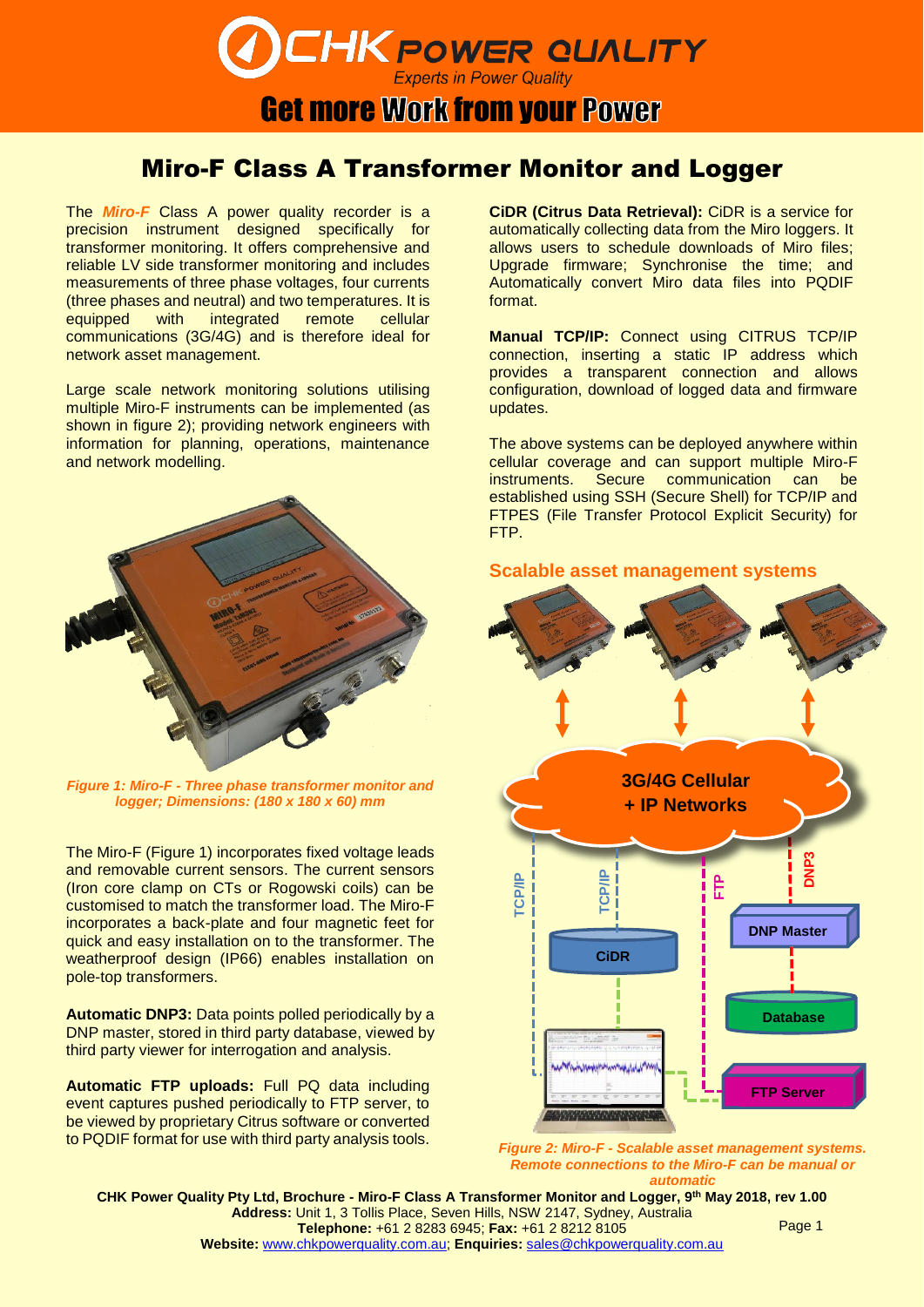**CHK POWER QUALITY** 

### **Get more Work from your Power**

### Miro-F Class A Transformer Monitor and Logger

The *Miro-F* Class A power quality recorder is a precision instrument designed specifically for transformer monitoring. It offers comprehensive and reliable LV side transformer monitoring and includes measurements of three phase voltages, four currents (three phases and neutral) and two temperatures. It is equipped with integrated remote cellular communications (3G/4G) and is therefore ideal for network asset management.

Large scale network monitoring solutions utilising multiple Miro-F instruments can be implemented (as shown in figure 2); providing network engineers with information for planning, operations, maintenance and network modelling.



*Figure 1: Miro-F - Three phase transformer monitor and logger; Dimensions: (180 x 180 x 60) mm*

The Miro-F (Figure 1) incorporates fixed voltage leads and removable current sensors. The current sensors (Iron core clamp on CTs or Rogowski coils) can be customised to match the transformer load. The Miro-F incorporates a back-plate and four magnetic feet for quick and easy installation on to the transformer. The weatherproof design (IP66) enables installation on pole-top transformers.

**Automatic DNP3:** Data points polled periodically by a DNP master, stored in third party database, viewed by third party viewer for interrogation and analysis.

**Automatic FTP uploads:** Full PQ data including event captures pushed periodically to FTP server, to be viewed by proprietary Citrus software or converted to PQDIF format for use with third party analysis tools.

**CiDR (Citrus Data Retrieval):** CiDR is a service for automatically collecting data from the Miro loggers. It allows users to schedule downloads of Miro files; Upgrade firmware; Synchronise the time; and Automatically convert Miro data files into PQDIF format.

**Manual TCP/IP:** Connect using CITRUS TCP/IP connection, inserting a static IP address which provides a transparent connection and allows configuration, download of logged data and firmware updates.

The above systems can be deployed anywhere within cellular coverage and can support multiple Miro-F instruments. Secure communication can be established using SSH (Secure Shell) for TCP/IP and FTPES (File Transfer Protocol Explicit Security) for FTP.





*Figure 2: Miro-F - Scalable asset management systems. Remote connections to the Miro-F can be manual or automatic*

**CHK Power Quality Pty Ltd, Brochure - Miro-F Class A Transformer Monitor and Logger, 9 th May 2018, rev 1.00 Address:** Unit 1, 3 Tollis Place, Seven Hills, NSW 2147, Sydney, Australia **Telephone:** +61 2 8283 6945; **Fax:** +61 2 8212 8105 **Website:** [www.chkpowerquality.com.au;](http://www.chkpowerquality.com.au/) **Enquiries:** [sales@chkpowerquality.com.au](mailto:sales@chkpowerquality.com.au) Page 1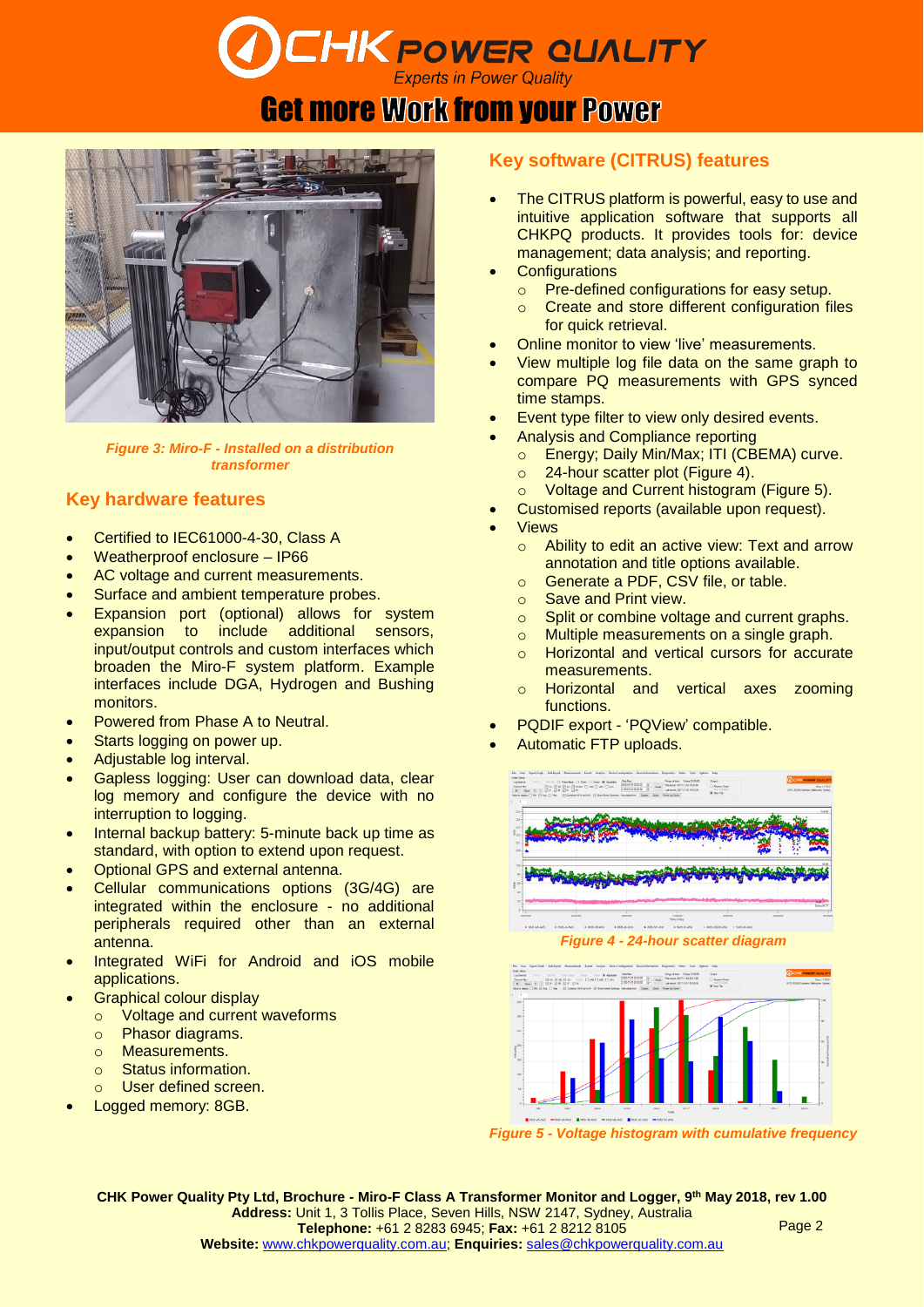# **CHK POWER QUALITY**

### **Get more Work from your Power**



*Figure 3: Miro-F - Installed on a distribution transformer*

#### **Key hardware features**

- Certified to IEC61000-4-30, Class A
- Weatherproof enclosure IP66
- AC voltage and current measurements.
- Surface and ambient temperature probes.
- Expansion port (optional) allows for system expansion to include additional sensors, input/output controls and custom interfaces which broaden the Miro-F system platform. Example interfaces include DGA, Hydrogen and Bushing monitors.
- Powered from Phase A to Neutral.
- Starts logging on power up.
- Adjustable log interval.
- Gapless logging: User can download data, clear log memory and configure the device with no interruption to logging.
- Internal backup battery: 5-minute back up time as standard, with option to extend upon request.
- Optional GPS and external antenna.
- Cellular communications options (3G/4G) are integrated within the enclosure - no additional peripherals required other than an external antenna.
- Integrated WiFi for Android and iOS mobile applications.
- Graphical colour display
	- o Voltage and current waveforms
	- o Phasor diagrams.
	- o Measurements.
	- o Status information.
- o User defined screen.
- Logged memory: 8GB.

#### **Key software (CITRUS) features**

- The CITRUS platform is powerful, easy to use and intuitive application software that supports all CHKPQ products. It provides tools for: device management; data analysis; and reporting.
- **Configurations** 
	- o Pre-defined configurations for easy setup.
	- o Create and store different configuration files for quick retrieval.
- Online monitor to view 'live' measurements.
- View multiple log file data on the same graph to compare PQ measurements with GPS synced time stamps.
- Event type filter to view only desired events.
- Analysis and Compliance reporting
	- o Energy; Daily Min/Max; ITI (CBEMA) curve.
	- o 24-hour scatter plot (Figure 4).
- o Voltage and Current histogram (Figure 5).
- Customised reports (available upon request).
- **Views** 
	- o Ability to edit an active view: Text and arrow annotation and title options available.
	- o Generate a PDF, CSV file, or table.
	- o Save and Print view.
	- o Split or combine voltage and current graphs.
	- o Multiple measurements on a single graph.
	- o Horizontal and vertical cursors for accurate measurements.
	- o Horizontal and vertical axes zooming functions.
- PQDIF export 'PQView' compatible.
- Automatic FTP uploads.





*Figure 5 - Voltage histogram with cumulative frequency*

**CHK Power Quality Pty Ltd, Brochure - Miro-F Class A Transformer Monitor and Logger, 9 th May 2018, rev 1.00 Address:** Unit 1, 3 Tollis Place, Seven Hills, NSW 2147, Sydney, Australia **Telephone:** +61 2 8283 6945; **Fax:** +61 2 8212 8105 **Website:** [www.chkpowerquality.com.au;](http://www.chkpowerquality.com.au/) **Enquiries:** [sales@chkpowerquality.com.au](mailto:sales@chkpowerquality.com.au) Page 2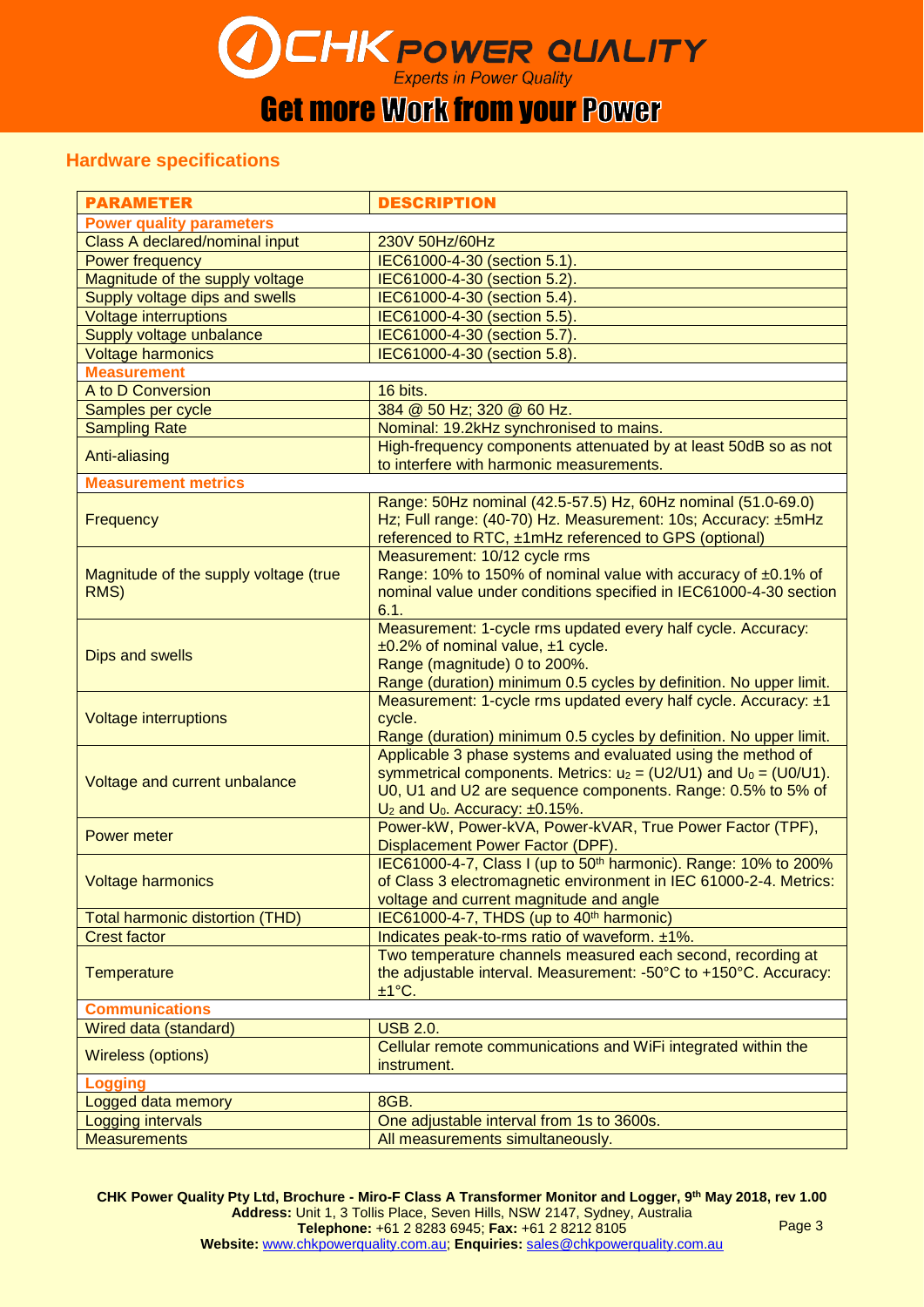# $\text{CHK}$  POWER QUALITY

## Get more Work from your Power

#### **Hardware specifications**

| <b>PARAMETER</b>                              | <b>DESCRIPTION</b>                                                          |
|-----------------------------------------------|-----------------------------------------------------------------------------|
| <b>Power quality parameters</b>               |                                                                             |
| Class A declared/nominal input                | 230V 50Hz/60Hz                                                              |
| Power frequency                               | IEC61000-4-30 (section 5.1).                                                |
| Magnitude of the supply voltage               | IEC61000-4-30 (section 5.2).                                                |
| Supply voltage dips and swells                | IEC61000-4-30 (section 5.4).                                                |
| <b>Voltage interruptions</b>                  | IEC61000-4-30 (section 5.5).                                                |
| Supply voltage unbalance                      | IEC61000-4-30 (section 5.7).                                                |
| <b>Voltage harmonics</b>                      | IEC61000-4-30 (section 5.8).                                                |
| <b>Measurement</b>                            |                                                                             |
| A to D Conversion                             | 16 bits.                                                                    |
| Samples per cycle                             | 384 @ 50 Hz; 320 @ 60 Hz.                                                   |
| <b>Sampling Rate</b>                          | Nominal: 19.2kHz synchronised to mains.                                     |
| Anti-aliasing                                 | High-frequency components attenuated by at least 50dB so as not             |
|                                               | to interfere with harmonic measurements.                                    |
| <b>Measurement metrics</b>                    |                                                                             |
| Frequency                                     | Range: 50Hz nominal (42.5-57.5) Hz, 60Hz nominal (51.0-69.0)                |
|                                               | Hz; Full range: (40-70) Hz. Measurement: 10s; Accuracy: ±5mHz               |
|                                               | referenced to RTC, ±1mHz referenced to GPS (optional)                       |
| Magnitude of the supply voltage (true<br>RMS) | Measurement: 10/12 cycle rms                                                |
|                                               | Range: 10% to 150% of nominal value with accuracy of ±0.1% of               |
|                                               | nominal value under conditions specified in IEC61000-4-30 section           |
|                                               | 6.1.                                                                        |
| <b>Dips and swells</b>                        | Measurement: 1-cycle rms updated every half cycle. Accuracy:                |
|                                               | $\pm 0.2\%$ of nominal value, $\pm 1$ cycle.                                |
|                                               | Range (magnitude) 0 to 200%.                                                |
|                                               | Range (duration) minimum 0.5 cycles by definition. No upper limit.          |
| <b>Voltage interruptions</b>                  | Measurement: 1-cycle rms updated every half cycle. Accuracy: ±1             |
|                                               | cycle.                                                                      |
|                                               | Range (duration) minimum 0.5 cycles by definition. No upper limit.          |
|                                               | Applicable 3 phase systems and evaluated using the method of                |
| Voltage and current unbalance                 | symmetrical components. Metrics: $u_2 = (U2/U1)$ and $U_0 = (U0/U1)$ .      |
|                                               | U0, U1 and U2 are sequence components. Range: 0.5% to 5% of                 |
|                                               | $U_2$ and $U_0$ . Accuracy: $\pm 0.15\%$ .                                  |
| <b>Power meter</b>                            | Power-kW, Power-kVA, Power-kVAR, True Power Factor (TPF),                   |
|                                               | Displacement Power Factor (DPF).                                            |
| <b>Voltage harmonics</b>                      | IEC61000-4-7, Class I (up to 50 <sup>th</sup> harmonic). Range: 10% to 200% |
|                                               | of Class 3 electromagnetic environment in IEC 61000-2-4. Metrics:           |
|                                               | voltage and current magnitude and angle                                     |
| <b>Total harmonic distortion (THD)</b>        | IEC61000-4-7, THDS (up to 40 <sup>th</sup> harmonic)                        |
| <b>Crest factor</b>                           | Indicates peak-to-rms ratio of waveform. ±1%.                               |
|                                               | Two temperature channels measured each second, recording at                 |
| <b>Temperature</b>                            | the adjustable interval. Measurement: -50°C to +150°C. Accuracy:            |
|                                               | ±1°C.                                                                       |
| <b>Communications</b>                         |                                                                             |
| Wired data (standard)                         | <b>USB 2.0.</b>                                                             |
| Wireless (options)                            | Cellular remote communications and WiFi integrated within the               |
|                                               | instrument.                                                                 |
| Logging                                       |                                                                             |
| Logged data memory                            | 8GB.                                                                        |
| Logging intervals                             | One adjustable interval from 1s to 3600s.                                   |
| <b>Measurements</b>                           | All measurements simultaneously.                                            |